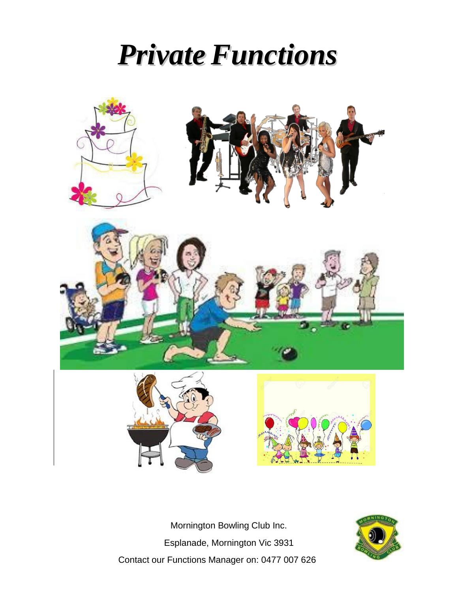# *Private Functions*



Mornington Bowling Club Inc. Esplanade, Mornington Vic 3931 Contact our Functions Manager on: 0477 007 626

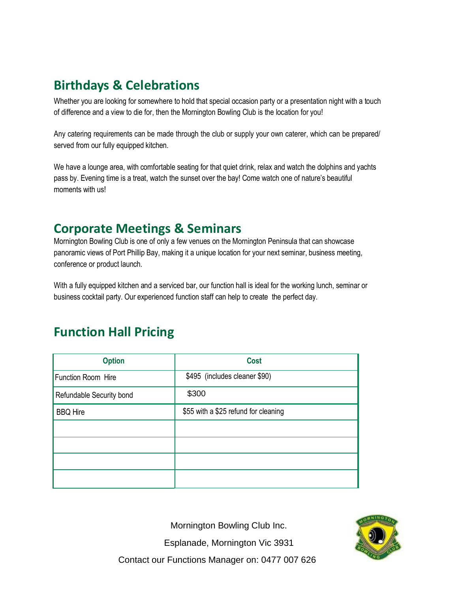# **Birthdays & Celebrations**

Whether you are looking for somewhere to hold that special occasion party or a presentation night with a touch of difference and a view to die for, then the Mornington Bowling Club is the location for you!

Any catering requirements can be made through the club or supply your own caterer, which can be prepared/ served from our fully equipped kitchen.

We have a lounge area, with comfortable seating for that quiet drink, relax and watch the dolphins and yachts pass by. Evening time is a treat, watch the sunset over the bay! Come watch one of nature's beautiful moments with us!

#### **Corporate Meetings & Seminars**

Mornington Bowling Club is one of only a few venues on the Mornington Peninsula that can showcase panoramic views of Port Phillip Bay, making it a unique location for your next seminar, business meeting, conference or product launch.

With a fully equipped kitchen and a serviced bar, our function hall is ideal for the working lunch, seminar or business cocktail party. Our experienced function staff can help to create the perfect day.

### **Function Hall Pricing**

| <b>Option</b>            | <b>Cost</b>                          |
|--------------------------|--------------------------------------|
| Function Room Hire       | \$495 (includes cleaner \$90)        |
| Refundable Security bond | \$300                                |
| <b>BBQ Hire</b>          | \$55 with a \$25 refund for cleaning |
|                          |                                      |
|                          |                                      |
|                          |                                      |
|                          |                                      |

Mornington Bowling Club Inc.

Esplanade, Mornington Vic 3931



Contact our Functions Manager on: 0477 007 626